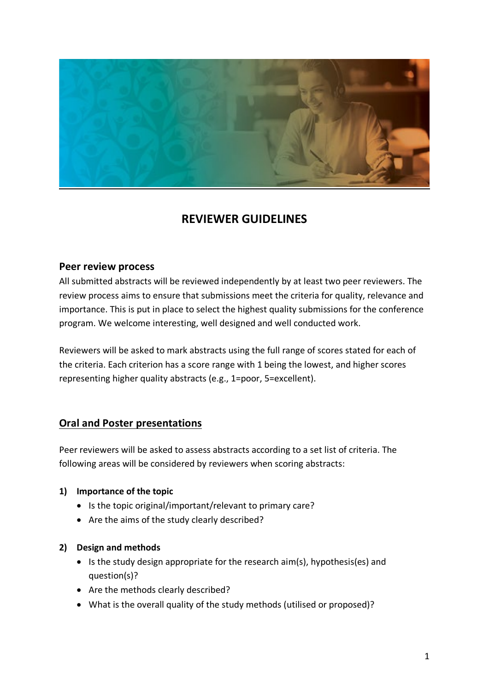

# **REVIEWER GUIDELINES**

### **Peer review process**

All submitted abstracts will be reviewed independently by at least two peer reviewers. The review process aims to ensure that submissions meet the criteria for quality, relevance and importance. This is put in place to select the highest quality submissions for the conference program. We welcome interesting, well designed and well conducted work.

Reviewers will be asked to mark abstracts using the full range of scores stated for each of the criteria. Each criterion has a score range with 1 being the lowest, and higher scores representing higher quality abstracts (e.g., 1=poor, 5=excellent).

# **Oral and Poster presentations**

Peer reviewers will be asked to assess abstracts according to a set list of criteria. The following areas will be considered by reviewers when scoring abstracts:

### **1) Importance of the topic**

- Is the topic original/important/relevant to primary care?
- Are the aims of the study clearly described?

### **2) Design and methods**

- Is the study design appropriate for the research aim(s), hypothesis(es) and question(s)?
- Are the methods clearly described?
- What is the overall quality of the study methods (utilised or proposed)?